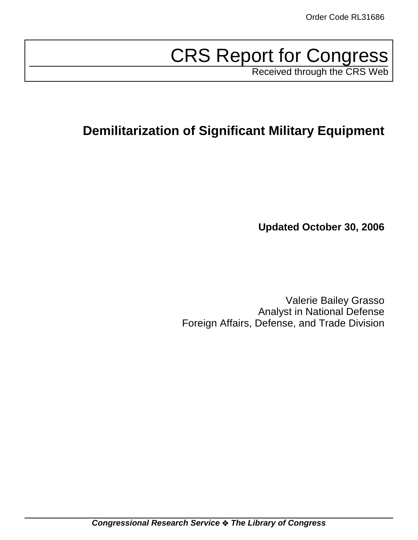# CRS Report for Congress

Received through the CRS Web

# **Demilitarization of Significant Military Equipment**

**Updated October 30, 2006**

Valerie Bailey Grasso Analyst in National Defense Foreign Affairs, Defense, and Trade Division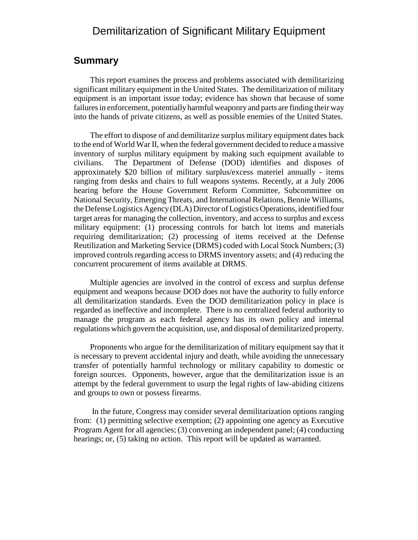# Demilitarization of Significant Military Equipment

#### **Summary**

This report examines the process and problems associated with demilitarizing significant military equipment in the United States. The demilitarization of military equipment is an important issue today; evidence has shown that because of some failures in enforcement, potentially harmful weaponry and parts are finding their way into the hands of private citizens, as well as possible enemies of the United States.

The effort to dispose of and demilitarize surplus military equipment dates back to the end of World War II, when the federal government decided to reduce a massive inventory of surplus military equipment by making such equipment available to civilians. The Department of Defense (DOD) identifies and disposes of approximately \$20 billion of military surplus/excess materiel annually - items ranging from desks and chairs to full weapons systems. Recently, at a July 2006 hearing before the House Government Reform Committee, Subcommittee on National Security, Emerging Threats, and International Relations, Bennie Williams, the Defense Logistics Agency (DLA) Director of Logistics Operations, identified four target areas for managing the collection, inventory, and access to surplus and excess military equipment: (1) processing controls for batch lot items and materials requiring demilitarization; (2) processing of items received at the Defense Reutilization and Marketing Service (DRMS) coded with Local Stock Numbers; (3) improved controls regarding access to DRMS inventory assets; and (4) reducing the concurrent procurement of items available at DRMS.

Multiple agencies are involved in the control of excess and surplus defense equipment and weapons because DOD does not have the authority to fully enforce all demilitarization standards. Even the DOD demilitarization policy in place is regarded as ineffective and incomplete. There is no centralized federal authority to manage the program as each federal agency has its own policy and internal regulations which govern the acquisition, use, and disposal of demilitarized property.

Proponents who argue for the demilitarization of military equipment say that it is necessary to prevent accidental injury and death, while avoiding the unnecessary transfer of potentially harmful technology or military capability to domestic or foreign sources. Opponents, however, argue that the demilitarization issue is an attempt by the federal government to usurp the legal rights of law-abiding citizens and groups to own or possess firearms.

 In the future, Congress may consider several demilitarization options ranging from: (1) permitting selective exemption; (2) appointing one agency as Executive Program Agent for all agencies; (3) convening an independent panel; (4) conducting hearings; or, (5) taking no action. This report will be updated as warranted.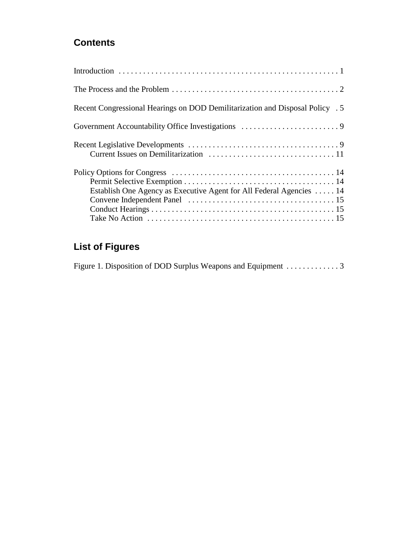# **Contents**

| Recent Congressional Hearings on DOD Demilitarization and Disposal Policy . 5 |
|-------------------------------------------------------------------------------|
|                                                                               |
|                                                                               |
|                                                                               |
| Establish One Agency as Executive Agent for All Federal Agencies  14          |
|                                                                               |
|                                                                               |

# **List of Figures**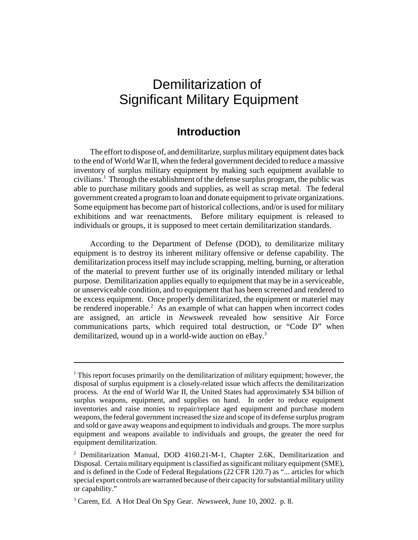# Demilitarization of Significant Military Equipment

### **Introduction**

The effort to dispose of, and demilitarize, surplus military equipment dates back to the end of World War II, when the federal government decided to reduce a massive inventory of surplus military equipment by making such equipment available to civilians.<sup>1</sup> Through the establishment of the defense surplus program, the public was able to purchase military goods and supplies, as well as scrap metal. The federal government created a program to loan and donate equipment to private organizations. Some equipment has become part of historical collections, and/or is used for military exhibitions and war reenactments. Before military equipment is released to individuals or groups, it is supposed to meet certain demilitarization standards.

According to the Department of Defense (DOD), to demilitarize military equipment is to destroy its inherent military offensive or defense capability. The demilitarization process itself may include scrapping, melting, burning, or alteration of the material to prevent further use of its originally intended military or lethal purpose. Demilitarization applies equally to equipment that may be in a serviceable, or unserviceable condition, and to equipment that has been screened and rendered to be excess equipment. Once properly demilitarized, the equipment or materiel may be rendered inoperable. $2$  As an example of what can happen when incorrect codes are assigned, an article in *Newsweek* revealed how sensitive Air Force communications parts, which required total destruction, or "Code D" when demilitarized, wound up in a world-wide auction on eBay.<sup>3</sup>

<sup>&</sup>lt;sup>1</sup> This report focuses primarily on the demilitarization of military equipment; however, the disposal of surplus equipment is a closely-related issue which affects the demilitarization process. At the end of World War II, the United States had approximately \$34 billion of surplus weapons, equipment, and supplies on hand. In order to reduce equipment inventories and raise monies to repair/replace aged equipment and purchase modern weapons, the federal government increased the size and scope of its defense surplus program and sold or gave away weapons and equipment to individuals and groups. The more surplus equipment and weapons available to individuals and groups, the greater the need for equipment demilitarization.

<sup>&</sup>lt;sup>2</sup> Demilitarization Manual, DOD 4160.21-M-1, Chapter 2.6K, Demilitarization and Disposal. Certain military equipment is classified as significant military equipment (SME), and is defined in the Code of Federal Regulations (22 CFR 120.7) as "... articles for which special export controls are warranted because of their capacity for substantial military utility or capability."

<sup>3</sup> Carem, Ed. A Hot Deal On Spy Gear. *Newsweek*, June 10, 2002. p. 8.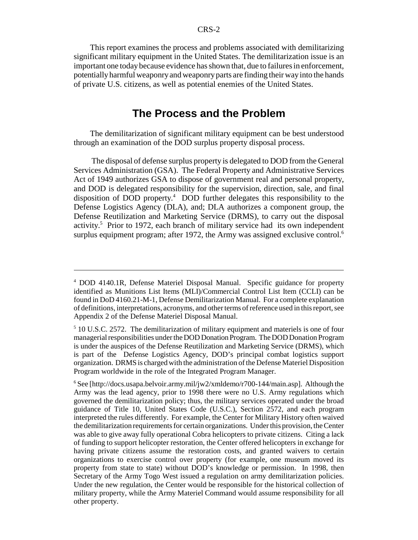This report examines the process and problems associated with demilitarizing significant military equipment in the United States. The demilitarization issue is an important one today because evidence has shown that, due to failures in enforcement, potentially harmful weaponry and weaponry parts are finding their way into the hands of private U.S. citizens, as well as potential enemies of the United States.

## **The Process and the Problem**

The demilitarization of significant military equipment can be best understood through an examination of the DOD surplus property disposal process.

 The disposal of defense surplus property is delegated to DOD from the General Services Administration (GSA). The Federal Property and Administrative Services Act of 1949 authorizes GSA to dispose of government real and personal property, and DOD is delegated responsibility for the supervision, direction, sale, and final disposition of DOD property.4 DOD further delegates this responsibility to the Defense Logistics Agency (DLA), and; DLA authorizes a component group, the Defense Reutilization and Marketing Service (DRMS), to carry out the disposal activity.<sup>5</sup> Prior to 1972, each branch of military service had its own independent surplus equipment program; after 1972, the Army was assigned exclusive control.<sup>6</sup>

<sup>4</sup> DOD 4140.1R, Defense Materiel Disposal Manual. Specific guidance for property identified as Munitions List Items (MLI)/Commercial Control List Item (CCLI) can be found in DoD 4160.21-M-1, Defense Demilitarization Manual. For a complete explanation of definitions, interpretations, acronyms, and other terms of reference used in this report, see Appendix 2 of the Defense Materiel Disposal Manual.

<sup>&</sup>lt;sup>5</sup> 10 U.S.C. 2572. The demilitarization of military equipment and materiels is one of four managerial responsibilities under the DOD Donation Program. The DOD Donation Program is under the auspices of the Defense Reutilization and Marketing Service (DRMS), which is part of the Defense Logistics Agency, DOD's principal combat logistics support organization. DRMS is charged with the administration of the Defense Materiel Disposition Program worldwide in the role of the Integrated Program Manager.

<sup>&</sup>lt;sup>6</sup> See [http://docs.usapa.belvoir.army.mil/jw2/xmldemo/r700-144/main.asp]. Although the Army was the lead agency, prior to 1998 there were no U.S. Army regulations which governed the demilitarization policy; thus, the military services operated under the broad guidance of Title 10, United States Code (U.S.C.), Section 2572, and each program interpreted the rules differently. For example, the Center for Military History often waived the demilitarization requirements for certain organizations. Under this provision, the Center was able to give away fully operational Cobra helicopters to private citizens. Citing a lack of funding to support helicopter restoration, the Center offered helicopters in exchange for having private citizens assume the restoration costs, and granted waivers to certain organizations to exercise control over property (for example, one museum moved its property from state to state) without DOD's knowledge or permission. In 1998, then Secretary of the Army Togo West issued a regulation on army demilitarization policies. Under the new regulation, the Center would be responsible for the historical collection of military property, while the Army Materiel Command would assume responsibility for all other property.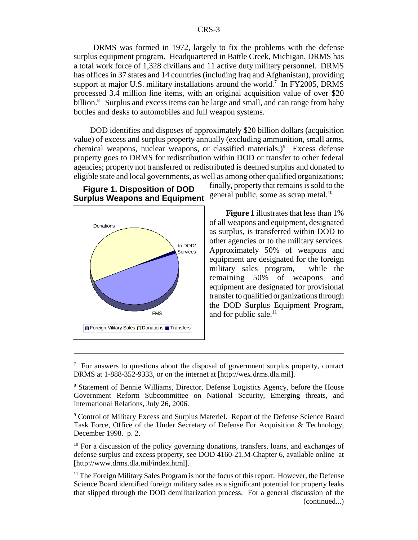DRMS was formed in 1972, largely to fix the problems with the defense surplus equipment program. Headquartered in Battle Creek, Michigan, DRMS has a total work force of 1,328 civilians and 11 active duty military personnel. DRMS has offices in 37 states and 14 countries (including Iraq and Afghanistan), providing support at major U.S. military installations around the world.<sup>7</sup> In FY2005, DRMS processed 3.4 million line items, with an original acquisition value of over \$20 billion.<sup>8</sup> Surplus and excess items can be large and small, and can range from baby bottles and desks to automobiles and full weapon systems.

DOD identifies and disposes of approximately \$20 billion dollars (acquisition value) of excess and surplus property annually (excluding ammunition, small arms, chemical weapons, nuclear weapons, or classified materials.) $9$  Excess defense property goes to DRMS for redistribution within DOD or transfer to other federal agencies; property not transferred or redistributed is deemed surplus and donated to eligible state and local governments, as well as among other qualified organizations;

#### **Figure 1. Disposition of DOD Surplus Weapons and Equipment**



finally, property that remains is sold to the general public, some as scrap metal.<sup>10</sup>

**Figure 1** illustrates that less than 1% of all weapons and equipment, designated as surplus, is transferred within DOD to other agencies or to the military services. Approximately 50% of weapons and equipment are designated for the foreign military sales program, while the<br>remaining 50% of weapons and of weapons and equipment are designated for provisional transfer to qualified organizations through the DOD Surplus Equipment Program,  $FMS$  and for public sale.<sup>11</sup>

<sup>&</sup>lt;sup>7</sup> For answers to questions about the disposal of government surplus property, contact DRMS at 1-888-352-9333, or on the internet at [http://wex.drms.dla.mil].

<sup>&</sup>lt;sup>8</sup> Statement of Bennie Williams, Director, Defense Logistics Agency, before the House Government Reform Subcommittee on National Security, Emerging threats, and International Relations, July 26, 2006.

<sup>&</sup>lt;sup>9</sup> Control of Military Excess and Surplus Materiel. Report of the Defense Science Board Task Force, Office of the Under Secretary of Defense For Acquisition & Technology, December 1998. p. 2.

 $10$  For a discussion of the policy governing donations, transfers, loans, and exchanges of defense surplus and excess property, see DOD 4160-21.M-Chapter 6, available online at [http://www.drms.dla.mil/index.html].

 $<sup>11</sup>$  The Foreign Military Sales Program is not the focus of this report. However, the Defense</sup> Science Board identified foreign military sales as a significant potential for property leaks that slipped through the DOD demilitarization process. For a general discussion of the (continued...)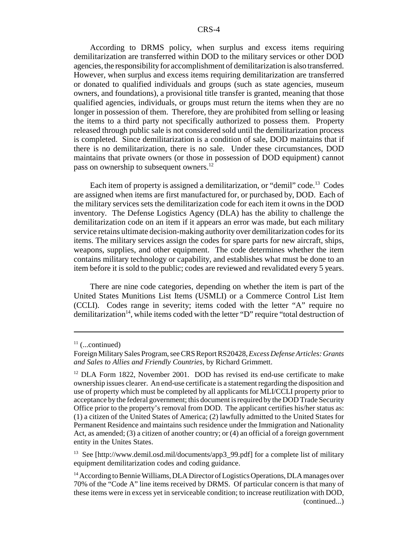According to DRMS policy, when surplus and excess items requiring demilitarization are transferred within DOD to the military services or other DOD agencies, the responsibility for accomplishment of demilitarization is also transferred. However, when surplus and excess items requiring demilitarization are transferred or donated to qualified individuals and groups (such as state agencies, museum owners, and foundations), a provisional title transfer is granted, meaning that those qualified agencies, individuals, or groups must return the items when they are no longer in possession of them. Therefore, they are prohibited from selling or leasing the items to a third party not specifically authorized to possess them. Property released through public sale is not considered sold until the demilitarization process is completed. Since demilitarization is a condition of sale, DOD maintains that if there is no demilitarization, there is no sale. Under these circumstances, DOD maintains that private owners (or those in possession of DOD equipment) cannot pass on ownership to subsequent owners.<sup>12</sup>

Each item of property is assigned a demilitarization, or "demil" code.<sup>13</sup> Codes are assigned when items are first manufactured for, or purchased by, DOD. Each of the military services sets the demilitarization code for each item it owns in the DOD inventory. The Defense Logistics Agency (DLA) has the ability to challenge the demilitarization code on an item if it appears an error was made, but each military service retains ultimate decision-making authority over demilitarization codes for its items. The military services assign the codes for spare parts for new aircraft, ships, weapons, supplies, and other equipment. The code determines whether the item contains military technology or capability, and establishes what must be done to an item before it is sold to the public; codes are reviewed and revalidated every 5 years.

There are nine code categories, depending on whether the item is part of the United States Munitions List Items (USMLI) or a Commerce Control List Item (CCLI). Codes range in severity; items coded with the letter "A" require no demilitarization<sup>14</sup>, while items coded with the letter "D" require "total destruction of

 $11$  (...continued)

Foreign Military Sales Program, see CRS Report RS20428, *Excess Defense Articles: Grants and Sales to Allies and Friendly Countries,* by Richard Grimmett.

<sup>&</sup>lt;sup>12</sup> DLA Form 1822, November 2001. DOD has revised its end-use certificate to make ownership issues clearer. An end-use certificate is a statement regarding the disposition and use of property which must be completed by all applicants for MLI/CCLI property prior to acceptance by the federal government; this document is required by the DOD Trade Security Office prior to the property's removal from DOD. The applicant certifies his/her status as: (1) a citizen of the United States of America; (2) lawfully admitted to the United States for Permanent Residence and maintains such residence under the Immigration and Nationality Act, as amended; (3) a citizen of another country; or (4) an official of a foreign government entity in the Unites States.

<sup>&</sup>lt;sup>13</sup> See [http://www.demil.osd.mil/documents/app3\_99.pdf] for a complete list of military equipment demilitarization codes and coding guidance.

<sup>&</sup>lt;sup>14</sup> According to Bennie Williams, DLA Director of Logistics Operations, DLA manages over 70% of the "Code A" line items received by DRMS. Of particular concern is that many of these items were in excess yet in serviceable condition; to increase reutilization with DOD, (continued...)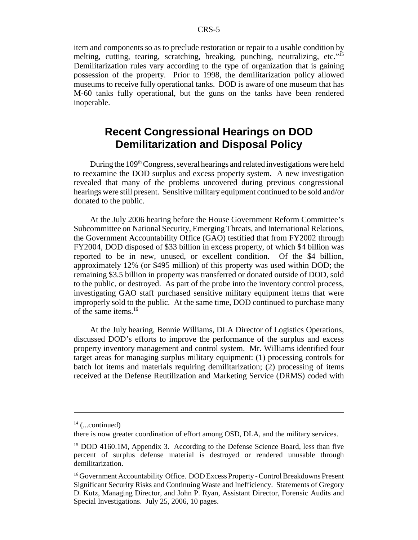item and components so as to preclude restoration or repair to a usable condition by melting, cutting, tearing, scratching, breaking, punching, neutralizing, etc."15 Demilitarization rules vary according to the type of organization that is gaining possession of the property. Prior to 1998, the demilitarization policy allowed museums to receive fully operational tanks. DOD is aware of one museum that has M-60 tanks fully operational, but the guns on the tanks have been rendered inoperable.

# **Recent Congressional Hearings on DOD Demilitarization and Disposal Policy**

During the  $109<sup>th</sup> Congress$ , several hearings and related investigations were held to reexamine the DOD surplus and excess property system. A new investigation revealed that many of the problems uncovered during previous congressional hearings were still present. Sensitive military equipment continued to be sold and/or donated to the public.

At the July 2006 hearing before the House Government Reform Committee's Subcommittee on National Security, Emerging Threats, and International Relations, the Government Accountability Office (GAO) testified that from FY2002 through FY2004, DOD disposed of \$33 billion in excess property, of which \$4 billion was reported to be in new, unused, or excellent condition. Of the \$4 billion, approximately 12% (or \$495 million) of this property was used within DOD; the remaining \$3.5 billion in property was transferred or donated outside of DOD, sold to the public, or destroyed. As part of the probe into the inventory control process, investigating GAO staff purchased sensitive military equipment items that were improperly sold to the public. At the same time, DOD continued to purchase many of the same items.16

At the July hearing, Bennie Williams, DLA Director of Logistics Operations, discussed DOD's efforts to improve the performance of the surplus and excess property inventory management and control system. Mr. Williams identified four target areas for managing surplus military equipment: (1) processing controls for batch lot items and materials requiring demilitarization; (2) processing of items received at the Defense Reutilization and Marketing Service (DRMS) coded with

 $14$  (...continued)

there is now greater coordination of effort among OSD, DLA, and the military services.

<sup>&</sup>lt;sup>15</sup> DOD 4160.1M, Appendix 3. According to the Defense Science Board, less than five percent of surplus defense material is destroyed or rendered unusable through demilitarization.

<sup>&</sup>lt;sup>16</sup> Government Accountability Office. DOD Excess Property - Control Breakdowns Present Significant Security Risks and Continuing Waste and Inefficiency. Statements of Gregory D. Kutz, Managing Director, and John P. Ryan, Assistant Director, Forensic Audits and Special Investigations. July 25, 2006, 10 pages.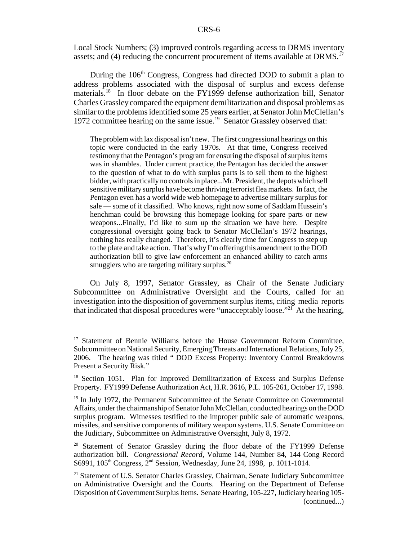Local Stock Numbers; (3) improved controls regarding access to DRMS inventory assets; and (4) reducing the concurrent procurement of items available at DRMS.<sup>17</sup>

During the  $106<sup>th</sup>$  Congress, Congress had directed DOD to submit a plan to address problems associated with the disposal of surplus and excess defense materials.<sup>18</sup> In floor debate on the FY1999 defense authorization bill, Senator Charles Grassley compared the equipment demilitarization and disposal problems as similar to the problems identified some 25 years earlier, at Senator John McClellan's 1972 committee hearing on the same issue.<sup>19</sup> Senator Grassley observed that:

The problem with lax disposal isn't new. The first congressional hearings on this topic were conducted in the early 1970s. At that time, Congress received testimony that the Pentagon's program for ensuring the disposal of surplus items was in shambles. Under current practice, the Pentagon has decided the answer to the question of what to do with surplus parts is to sell them to the highest bidder, with practically no controls in place...Mr. President, the depots which sell sensitive military surplus have become thriving terrorist flea markets. In fact, the Pentagon even has a world wide web homepage to advertise military surplus for sale — some of it classified. Who knows, right now some of Saddam Hussein's henchman could be browsing this homepage looking for spare parts or new weapons...Finally, I'd like to sum up the situation we have here. Despite congressional oversight going back to Senator McClellan's 1972 hearings, nothing has really changed. Therefore, it's clearly time for Congress to step up to the plate and take action. That's why I'm offering this amendment to the DOD authorization bill to give law enforcement an enhanced ability to catch arms smugglers who are targeting military surplus.<sup>20</sup>

On July 8, 1997, Senator Grassley, as Chair of the Senate Judiciary Subcommittee on Administrative Oversight and the Courts, called for an investigation into the disposition of government surplus items, citing media reports that indicated that disposal procedures were "unacceptably loose."<sup>21</sup> At the hearing,

 $17$  Statement of Bennie Williams before the House Government Reform Committee, Subcommittee on National Security, Emerging Threats and International Relations, July 25, 2006. The hearing was titled " DOD Excess Property: Inventory Control Breakdowns Present a Security Risk."

<sup>&</sup>lt;sup>18</sup> Section 1051. Plan for Improved Demilitarization of Excess and Surplus Defense Property. FY1999 Defense Authorization Act, H.R. 3616, P.L. 105-261, October 17, 1998.

<sup>&</sup>lt;sup>19</sup> In July 1972, the Permanent Subcommittee of the Senate Committee on Governmental Affairs, under the chairmanship of Senator John McClellan, conducted hearings on the DOD surplus program. Witnesses testified to the improper public sale of automatic weapons, missiles, and sensitive components of military weapon systems. U.S. Senate Committee on the Judiciary, Subcommittee on Administrative Oversight, July 8, 1972.

<sup>&</sup>lt;sup>20</sup> Statement of Senator Grassley during the floor debate of the FY1999 Defense authorization bill. *Congressional Record*, Volume 144, Number 84, 144 Cong Record S6991, 105<sup>th</sup> Congress, 2<sup>nd</sup> Session, Wednesday, June 24, 1998, p. 1011-1014.

<sup>&</sup>lt;sup>21</sup> Statement of U.S. Senator Charles Grassley, Chairman, Senate Judiciary Subcommittee on Administrative Oversight and the Courts. Hearing on the Department of Defense Disposition of Government Surplus Items. Senate Hearing, 105-227, Judiciary hearing 105- (continued...)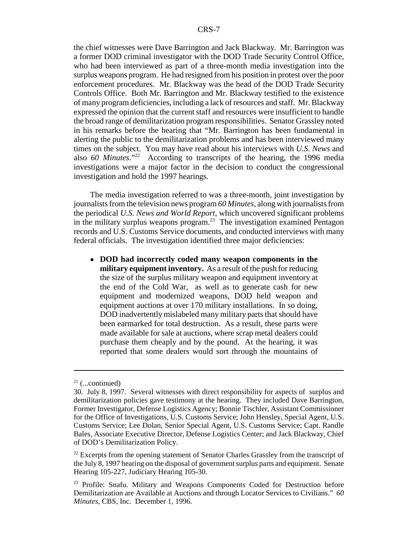the chief witnesses were Dave Barrington and Jack Blackway. Mr. Barrington was a former DOD criminal investigator with the DOD Trade Security Control Office, who had been interviewed as part of a three-month media investigation into the surplus weapons program. He had resigned from his position in protest over the poor enforcement procedures. Mr. Blackway was the head of the DOD Trade Security Controls Office. Both Mr. Barrington and Mr. Blackway testified to the existence of many program deficiencies, including a lack of resources and staff. Mr. Blackway expressed the opinion that the current staff and resources were insufficient to handle the broad range of demilitarization program responsibilities. Senator Grassley noted in his remarks before the hearing that "Mr. Barrington has been fundamental in alerting the public to the demilitarization problems and has been interviewed many times on the subject. You may have read about his interviews with *U.S. News* and also *60 Minutes*."22 According to transcripts of the hearing, the 1996 media investigations were a major factor in the decision to conduct the congressional investigation and hold the 1997 hearings.

The media investigation referred to was a three-month, joint investigation by journalists from the television news program *60 Minutes,* along with journalists from the periodical *U.S. News and World Report*, which uncovered significant problems in the military surplus weapons program.<sup>23</sup> The investigation examined Pentagon records and U.S. Customs Service documents, and conducted interviews with many federal officials. The investigation identified three major deficiencies:

! **DOD had incorrectly coded many weapon components in the military equipment inventory.** As a result of the push for reducing the size of the surplus military weapon and equipment inventory at the end of the Cold War, as well as to generate cash for new equipment and modernized weapons, DOD held weapon and equipment auctions at over 170 military installations. In so doing, DOD inadvertently mislabeled many military parts that should have been earmarked for total destruction. As a result, these parts were made available for sale at auctions, where scrap metal dealers could purchase them cheaply and by the pound. At the hearing, it was reported that some dealers would sort through the mountains of

 $21$  (...continued)

<sup>30.</sup> July 8, 1997. Several witnesses with direct responsibility for aspects of surplus and demilitarization policies gave testimony at the hearing. They included Dave Barrington, Former Investigator, Defense Logistics Agency; Bonnie Tischler, Assistant Commissioner for the Office of Investigations, U.S. Customs Service; John Hensley, Special Agent, U.S. Customs Service; Lee Dolan, Senior Special Agent, U.S. Customs Service; Capt. Randle Bales, Associate Executive Director, Defense Logistics Center; and Jack Blackway, Chief of DOD's Demilitarization Policy.

 $22$  Excerpts from the opening statement of Senator Charles Grassley from the transcript of the July 8, 1997 hearing on the disposal of government surplus parts and equipment. Senate Hearing 105-227, Judiciary Hearing 105-30.

<sup>23</sup> Profile: Snafu. Military and Weapons Components Coded for Destruction before Demilitarization are Available at Auctions and through Locator Services to Civilians." *60 Minutes*, CBS, Inc. December 1, 1996.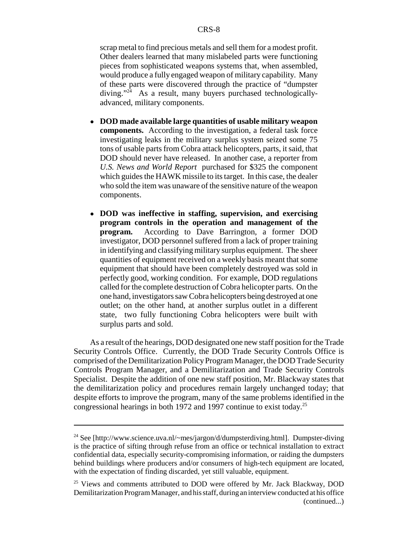scrap metal to find precious metals and sell them for a modest profit. Other dealers learned that many mislabeled parts were functioning pieces from sophisticated weapons systems that, when assembled, would produce a fully engaged weapon of military capability. Many of these parts were discovered through the practice of "dumpster diving."<sup>24</sup> As a result, many buyers purchased technologicallyadvanced, military components.

- ! **DOD made available large quantities of usable military weapon components.** According to the investigation, a federal task force investigating leaks in the military surplus system seized some 75 tons of usable parts from Cobra attack helicopters, parts, it said, that DOD should never have released. In another case, a reporter from *U.S. News and World Report* purchased for \$325 the component which guides the HAWK missile to its target. In this case, the dealer who sold the item was unaware of the sensitive nature of the weapon components.
- ! **DOD was ineffective in staffing, supervision, and exercising program controls in the operation and management of the program.** According to Dave Barrington, a former DOD investigator, DOD personnel suffered from a lack of proper training in identifying and classifying military surplus equipment. The sheer quantities of equipment received on a weekly basis meant that some equipment that should have been completely destroyed was sold in perfectly good, working condition. For example, DOD regulations called for the complete destruction of Cobra helicopter parts. On the one hand, investigators saw Cobra helicopters being destroyed at one outlet; on the other hand, at another surplus outlet in a different state, two fully functioning Cobra helicopters were built with surplus parts and sold.

As a result of the hearings, DOD designated one new staff position for the Trade Security Controls Office. Currently, the DOD Trade Security Controls Office is comprised of the Demilitarization Policy Program Manager, the DOD Trade Security Controls Program Manager, and a Demilitarization and Trade Security Controls Specialist. Despite the addition of one new staff position, Mr. Blackway states that the demilitarization policy and procedures remain largely unchanged today; that despite efforts to improve the program, many of the same problems identified in the congressional hearings in both 1972 and 1997 continue to exist today.25

<sup>24</sup> See [http://www.science.uva.nl/~mes/jargon/d/dumpsterdiving.html]. Dumpster-diving is the practice of sifting through refuse from an office or technical installation to extract confidential data, especially security-compromising information, or raiding the dumpsters behind buildings where producers and/or consumers of high-tech equipment are located, with the expectation of finding discarded, yet still valuable, equipment.

<sup>&</sup>lt;sup>25</sup> Views and comments attributed to DOD were offered by Mr. Jack Blackway, DOD Demilitarization Program Manager, and his staff, during an interview conducted at his office (continued...)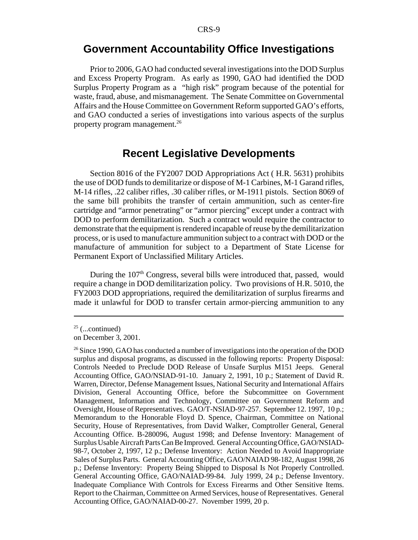### **Government Accountability Office Investigations**

Prior to 2006, GAO had conducted several investigations into the DOD Surplus and Excess Property Program. As early as 1990, GAO had identified the DOD Surplus Property Program as a "high risk" program because of the potential for waste, fraud, abuse, and mismanagement. The Senate Committee on Governmental Affairs and the House Committee on Government Reform supported GAO's efforts, and GAO conducted a series of investigations into various aspects of the surplus property program management.26

### **Recent Legislative Developments**

Section 8016 of the FY2007 DOD Appropriations Act ( H.R. 5631) prohibits the use of DOD funds to demilitarize or dispose of M-1 Carbines, M-1 Garand rifles, M-14 rifles, .22 caliber rifles, .30 caliber rifles, or M-1911 pistols. Section 8069 of the same bill prohibits the transfer of certain ammunition, such as center-fire cartridge and "armor penetrating" or "armor piercing" except under a contract with DOD to perform demilitarization. Such a contract would require the contractor to demonstrate that the equipment is rendered incapable of reuse by the demilitarization process, or is used to manufacture ammunition subject to a contract with DOD or the manufacture of ammunition for subject to a Department of State License for Permanent Export of Unclassified Military Articles.

During the  $107<sup>th</sup>$  Congress, several bills were introduced that, passed, would require a change in DOD demilitarization policy. Two provisions of H.R. 5010, the FY2003 DOD appropriations, required the demilitarization of surplus firearms and made it unlawful for DOD to transfer certain armor-piercing ammunition to any

 $25$  (...continued)

on December 3, 2001.

<sup>&</sup>lt;sup>26</sup> Since 1990, GAO has conducted a number of investigations into the operation of the DOD surplus and disposal programs, as discussed in the following reports: Property Disposal: Controls Needed to Preclude DOD Release of Unsafe Surplus M151 Jeeps. General Accounting Office, GAO/NSIAD-91-10. January 2, 1991, 10 p.; Statement of David R. Warren, Director, Defense Management Issues, National Security and International Affairs Division, General Accounting Office, before the Subcommittee on Government Management, Information and Technology, Committee on Government Reform and Oversight, House of Representatives. GAO/T-NSIAD-97-257. September 12. 1997, 10 p.; Memorandum to the Honorable Floyd D. Spence, Chairman, Committee on National Security, House of Representatives, from David Walker, Comptroller General, General Accounting Office. B-280096, August 1998; and Defense Inventory: Management of Surplus Usable Aircraft Parts Can Be Improved. General Accounting Office, GAO/NSIAD-98-7, October 2, 1997, 12 p.; Defense Inventory: Action Needed to Avoid Inappropriate Sales of Surplus Parts. General Accounting Office, GAO/NAIAD 98-182, August 1998, 26 p.; Defense Inventory: Property Being Shipped to Disposal Is Not Properly Controlled. General Accounting Office, GAO/NAIAD-99-84. July 1999, 24 p.; Defense Inventory. Inadequate Compliance With Controls for Excess Firearms and Other Sensitive Items. Report to the Chairman, Committee on Armed Services, house of Representatives. General Accounting Office, GAO/NAIAD-00-27. November 1999, 20 p.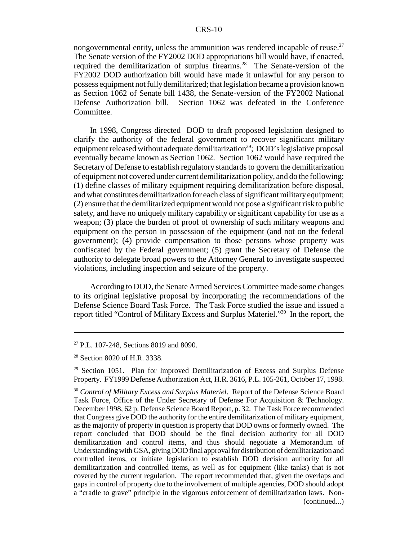nongovernmental entity, unless the ammunition was rendered incapable of reuse.<sup>27</sup> The Senate version of the FY2002 DOD appropriations bill would have, if enacted, required the demilitarization of surplus firearms.<sup>28</sup> The Senate-version of the FY2002 DOD authorization bill would have made it unlawful for any person to possess equipment not fully demilitarized; that legislation became a provision known as Section 1062 of Senate bill 1438, the Senate-version of the FY2002 National Defense Authorization bill. Section 1062 was defeated in the Conference Committee.

In 1998, Congress directed DOD to draft proposed legislation designed to clarify the authority of the federal government to recover significant military equipment released without adequate demilitarization<sup>29</sup>; DOD's legislative proposal eventually became known as Section 1062. Section 1062 would have required the Secretary of Defense to establish regulatory standards to govern the demilitarization of equipment not covered under current demilitarization policy, and do the following: (1) define classes of military equipment requiring demilitarization before disposal, and what constitutes demilitarization for each class of significant military equipment; (2) ensure that the demilitarized equipment would not pose a significant risk to public safety, and have no uniquely military capability or significant capability for use as a weapon; (3) place the burden of proof of ownership of such military weapons and equipment on the person in possession of the equipment (and not on the federal government); (4) provide compensation to those persons whose property was confiscated by the Federal government; (5) grant the Secretary of Defense the authority to delegate broad powers to the Attorney General to investigate suspected violations, including inspection and seizure of the property.

According to DOD, the Senate Armed Services Committee made some changes to its original legislative proposal by incorporating the recommendations of the Defense Science Board Task Force. The Task Force studied the issue and issued a report titled "Control of Military Excess and Surplus Materiel."30 In the report, the

<sup>27</sup> P.L. 107-248, Sections 8019 and 8090.

<sup>28</sup> Section 8020 of H.R. 3338.

 $29$  Section 1051. Plan for Improved Demilitarization of Excess and Surplus Defense Property. FY1999 Defense Authorization Act, H.R. 3616, P.L. 105-261, October 17, 1998.

<sup>30</sup> *Control of Military Excess and Surplus Materiel*. Report of the Defense Science Board Task Force, Office of the Under Secretary of Defense For Acquisition & Technology. December 1998, 62 p. Defense Science Board Report, p. 32. The Task Force recommended that Congress give DOD the authority for the entire demilitarization of military equipment, as the majority of property in question is property that DOD owns or formerly owned. The report concluded that DOD should be the final decision authority for all DOD demilitarization and control items, and thus should negotiate a Memorandum of Understanding with GSA, giving DOD final approval for distribution of demilitarization and controlled items, or initiate legislation to establish DOD decision authority for all demilitarization and controlled items, as well as for equipment (like tanks) that is not covered by the current regulation. The report recommended that, given the overlaps and gaps in control of property due to the involvement of multiple agencies, DOD should adopt a "cradle to grave" principle in the vigorous enforcement of demilitarization laws. Non- (continued...)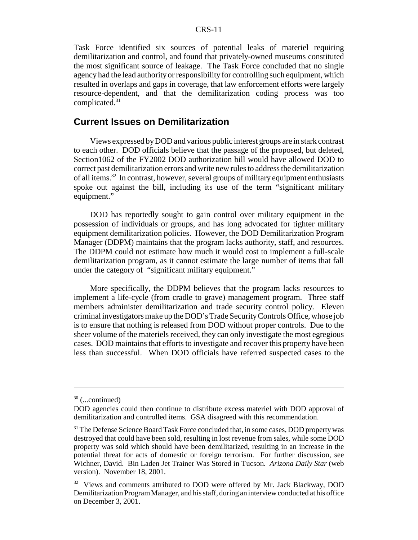Task Force identified six sources of potential leaks of materiel requiring demilitarization and control, and found that privately-owned museums constituted the most significant source of leakage. The Task Force concluded that no single agency had the lead authority or responsibility for controlling such equipment, which resulted in overlaps and gaps in coverage, that law enforcement efforts were largely resource-dependent, and that the demilitarization coding process was too complicated. $31$ 

#### **Current Issues on Demilitarization**

Views expressed by DOD and various public interest groups are in stark contrast to each other. DOD officials believe that the passage of the proposed, but deleted, Section1062 of the FY2002 DOD authorization bill would have allowed DOD to correct past demilitarization errors and write new rules to address the demilitarization of all items.32 In contrast, however, several groups of military equipment enthusiasts spoke out against the bill, including its use of the term "significant military equipment."

DOD has reportedly sought to gain control over military equipment in the possession of individuals or groups, and has long advocated for tighter military equipment demilitarization policies. However, the DOD Demilitarization Program Manager (DDPM) maintains that the program lacks authority, staff, and resources. The DDPM could not estimate how much it would cost to implement a full-scale demilitarization program, as it cannot estimate the large number of items that fall under the category of "significant military equipment."

More specifically, the DDPM believes that the program lacks resources to implement a life-cycle (from cradle to grave) management program. Three staff members administer demilitarization and trade security control policy. Eleven criminal investigators make up the DOD's Trade Security Controls Office, whose job is to ensure that nothing is released from DOD without proper controls. Due to the sheer volume of the materiels received, they can only investigate the most egregious cases. DOD maintains that efforts to investigate and recover this property have been less than successful. When DOD officials have referred suspected cases to the

 $30$  (...continued)

DOD agencies could then continue to distribute excess materiel with DOD approval of demilitarization and controlled items. GSA disagreed with this recommendation.

<sup>&</sup>lt;sup>31</sup> The Defense Science Board Task Force concluded that, in some cases, DOD property was destroyed that could have been sold, resulting in lost revenue from sales, while some DOD property was sold which should have been demilitarized, resulting in an increase in the potential threat for acts of domestic or foreign terrorism. For further discussion, see Wichner, David. Bin Laden Jet Trainer Was Stored in Tucson. *Arizona Daily Star* (web version). November 18, 2001.

 $32$  Views and comments attributed to DOD were offered by Mr. Jack Blackway, DOD Demilitarization Program Manager, and his staff, during an interview conducted at his office on December 3, 2001.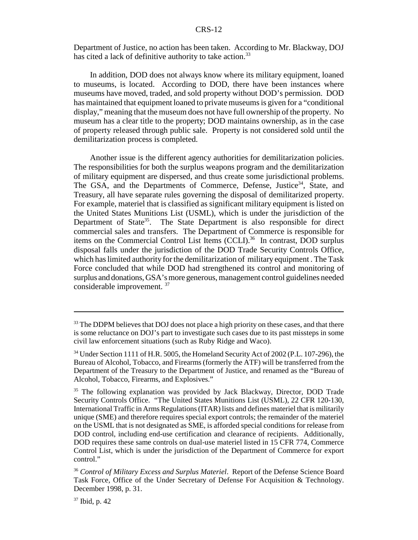Department of Justice, no action has been taken. According to Mr. Blackway, DOJ has cited a lack of definitive authority to take action.<sup>33</sup>

In addition, DOD does not always know where its military equipment, loaned to museums, is located. According to DOD, there have been instances where museums have moved, traded, and sold property without DOD's permission. DOD has maintained that equipment loaned to private museums is given for a "conditional display," meaning that the museum does not have full ownership of the property. No museum has a clear title to the property; DOD maintains ownership, as in the case of property released through public sale. Property is not considered sold until the demilitarization process is completed.

Another issue is the different agency authorities for demilitarization policies. The responsibilities for both the surplus weapons program and the demilitarization of military equipment are dispersed, and thus create some jurisdictional problems. The GSA, and the Departments of Commerce, Defense, Justice<sup>34</sup>, State, and Treasury, all have separate rules governing the disposal of demilitarized property. For example, materiel that is classified as significant military equipment is listed on the United States Munitions List (USML), which is under the jurisdiction of the Department of State $35$ . The State Department is also responsible for direct commercial sales and transfers. The Department of Commerce is responsible for items on the Commercial Control List Items (CCLI).<sup>36</sup> In contrast, DOD surplus disposal falls under the jurisdiction of the DOD Trade Security Controls Office, which has limited authority for the demilitarization of military equipment . The Task Force concluded that while DOD had strengthened its control and monitoring of surplus and donations, GSA's more generous, management control guidelines needed considerable improvement. 37

<sup>&</sup>lt;sup>33</sup> The DDPM believes that DOJ does not place a high priority on these cases, and that there is some reluctance on DOJ's part to investigate such cases due to its past missteps in some civil law enforcement situations (such as Ruby Ridge and Waco).

<sup>&</sup>lt;sup>34</sup> Under Section 1111 of H.R. 5005, the Homeland Security Act of 2002 (P.L. 107-296), the Bureau of Alcohol, Tobacco, and Firearms (formerly the ATF) will be transferred from the Department of the Treasury to the Department of Justice, and renamed as the "Bureau of Alcohol, Tobacco, Firearms, and Explosives."

<sup>&</sup>lt;sup>35</sup> The following explanation was provided by Jack Blackway, Director, DOD Trade Security Controls Office. "The United States Munitions List (USML), 22 CFR 120-130, International Traffic in Arms Regulations (ITAR) lists and defines materiel that is militarily unique (SME) and therefore requires special export controls; the remainder of the materiel on the USML that is not designated as SME, is afforded special conditions for release from DOD control, including end-use certification and clearance of recipients. Additionally, DOD requires these same controls on dual-use materiel listed in 15 CFR 774, Commerce Control List, which is under the jurisdiction of the Department of Commerce for export control."

<sup>36</sup> *Control of Military Excess and Surplus Materiel*. Report of the Defense Science Board Task Force, Office of the Under Secretary of Defense For Acquisition & Technology. December 1998, p. 31.

<sup>37</sup> Ibid, p. 42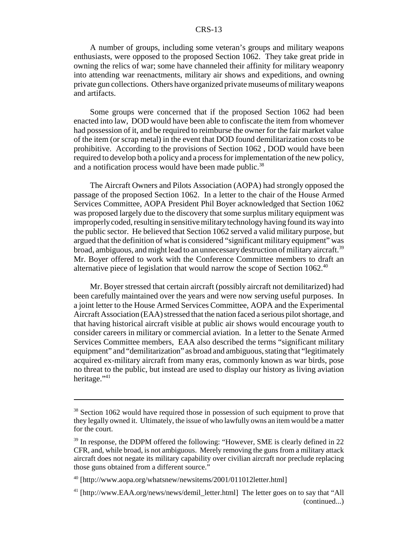#### CRS-13

A number of groups, including some veteran's groups and military weapons enthusiasts, were opposed to the proposed Section 1062. They take great pride in owning the relics of war; some have channeled their affinity for military weaponry into attending war reenactments, military air shows and expeditions, and owning private gun collections. Others have organized private museums of military weapons and artifacts.

Some groups were concerned that if the proposed Section 1062 had been enacted into law, DOD would have been able to confiscate the item from whomever had possession of it, and be required to reimburse the owner for the fair market value of the item (or scrap metal) in the event that DOD found demilitarization costs to be prohibitive. According to the provisions of Section 1062 , DOD would have been required to develop both a policy and a process for implementation of the new policy, and a notification process would have been made public.<sup>38</sup>

The Aircraft Owners and Pilots Association (AOPA) had strongly opposed the passage of the proposed Section 1062. In a letter to the chair of the House Armed Services Committee, AOPA President Phil Boyer acknowledged that Section 1062 was proposed largely due to the discovery that some surplus military equipment was improperly coded, resulting in sensitive military technology having found its way into the public sector. He believed that Section 1062 served a valid military purpose, but argued that the definition of what is considered "significant military equipment" was broad, ambiguous, and might lead to an unnecessary destruction of military aircraft.<sup>39</sup> Mr. Boyer offered to work with the Conference Committee members to draft an alternative piece of legislation that would narrow the scope of Section  $1062<sup>40</sup>$ 

Mr. Boyer stressed that certain aircraft (possibly aircraft not demilitarized) had been carefully maintained over the years and were now serving useful purposes. In a joint letter to the House Armed Services Committee, AOPA and the Experimental Aircraft Association (EAA) stressed that the nation faced a serious pilot shortage, and that having historical aircraft visible at public air shows would encourage youth to consider careers in military or commercial aviation. In a letter to the Senate Armed Services Committee members, EAA also described the terms "significant military equipment" and "demilitarization" as broad and ambiguous, stating that "legitimately acquired ex-military aircraft from many eras, commonly known as war birds, pose no threat to the public, but instead are used to display our history as living aviation heritage."<sup>41</sup>

<sup>&</sup>lt;sup>38</sup> Section 1062 would have required those in possession of such equipment to prove that they legally owned it. Ultimately, the issue of who lawfully owns an item would be a matter for the court.

<sup>&</sup>lt;sup>39</sup> In response, the DDPM offered the following: "However, SME is clearly defined in 22 CFR, and, while broad, is not ambiguous. Merely removing the guns from a military attack aircraft does not negate its military capability over civilian aircraft nor preclude replacing those guns obtained from a different source."

<sup>40 [</sup>http://www.aopa.org/whatsnew/newsitems/2001/011012letter.html]

<sup>41 [</sup>http://www.EAA.org/news/news/demil\_letter.html] The letter goes on to say that "All (continued...)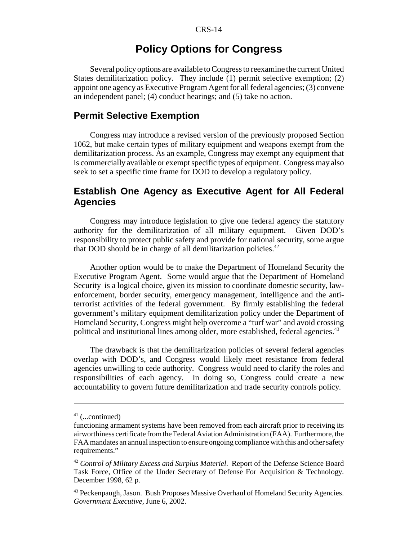# **Policy Options for Congress**

Several policy options are available to Congress to reexamine the current United States demilitarization policy. They include (1) permit selective exemption; (2) appoint one agency as Executive Program Agent for all federal agencies; (3) convene an independent panel; (4) conduct hearings; and (5) take no action.

#### **Permit Selective Exemption**

Congress may introduce a revised version of the previously proposed Section 1062, but make certain types of military equipment and weapons exempt from the demilitarization process. As an example, Congress may exempt any equipment that is commercially available or exempt specific types of equipment. Congress may also seek to set a specific time frame for DOD to develop a regulatory policy.

#### **Establish One Agency as Executive Agent for All Federal Agencies**

Congress may introduce legislation to give one federal agency the statutory authority for the demilitarization of all military equipment. Given DOD's responsibility to protect public safety and provide for national security, some argue that DOD should be in charge of all demilitarization policies.<sup>42</sup>

Another option would be to make the Department of Homeland Security the Executive Program Agent. Some would argue that the Department of Homeland Security is a logical choice, given its mission to coordinate domestic security, lawenforcement, border security, emergency management, intelligence and the antiterrorist activities of the federal government. By firmly establishing the federal government's military equipment demilitarization policy under the Department of Homeland Security, Congress might help overcome a "turf war" and avoid crossing political and institutional lines among older, more established, federal agencies.43

The drawback is that the demilitarization policies of several federal agencies overlap with DOD's, and Congress would likely meet resistance from federal agencies unwilling to cede authority. Congress would need to clarify the roles and responsibilities of each agency. In doing so, Congress could create a new accountability to govern future demilitarization and trade security controls policy.

 $41$  (...continued)

functioning armament systems have been removed from each aircraft prior to receiving its airworthiness certificate from the Federal Aviation Administration (FAA). Furthermore, the FAA mandates an annual inspection to ensure ongoing compliance with this and other safety requirements."

<sup>42</sup> *Control of Military Excess and Surplus Materiel*. Report of the Defense Science Board Task Force, Office of the Under Secretary of Defense For Acquisition & Technology. December 1998, 62 p.

<sup>&</sup>lt;sup>43</sup> Peckenpaugh, Jason. Bush Proposes Massive Overhaul of Homeland Security Agencies. *Government Executive*, June 6, 2002.